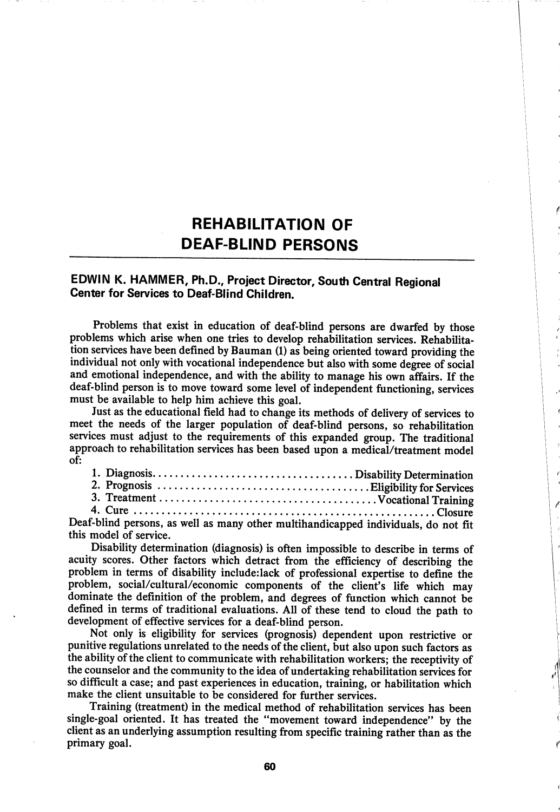# **REHABILITATION OF** DEAF-BUND PERSONS

# EDWIN K. HAMMER, Ph.D., Project Director, South Central Regional Center for Services to Deaf-Blind Children.

Problems that exist in education of deaf-blind persons are dwarfed by those problems which arise when one tries to develop rehabilitation services. Rehabilita tion services have been defined by Bauman (1) as being oriented toward providing the individual not only with vocational independence but also with some degree of social and emotional independence, and with the ability to manage his own affairs. If the deaf-blind person is to move toward some level of independent functioning, services must be available to help him achieve this goal.

Just as the educational field had to change its methods of delivery of services to meet the needs of the larger population of deaf-blind persons, so rehabilitation services must adjust to the requirements of this expanded group. The traditional approach to rehabilitation services has been based upon a medical/treatment model of:

| $f$ -blind persons as well as many other multihandicanned individuals do not $g_{\pm}$ |  |  |  |  |
|----------------------------------------------------------------------------------------|--|--|--|--|

Deaf-blind persons, as well as many other multihandicapped individuals, do not fit this model of service.

Disability determination (diagnosis) is often impossible to describe in terms of acuity scores. Other factors which detract from the efficiency of describing the problem in terms of disability include.iack of professional expertise to define the problem, social/cultural/economic components of the client's life which may dominate the definition of the problem, and degrees of function which cannot be defined in terms of traditional evaluations. All of these tend to cloud the path to development of effective services for a deaf-blind person.

Not only is eligibility for services (prognosis) dependent upon restrictive or punitive regulations unrelated to the needs of the client, but also upon such factors as the ability of the client to communicate with rehabilitation workers; the receptivity of the counselor and the community to the idea of undertaking rehabilitation services for so difficult a case; and past experiences in education, training, or habilitation which make the client unsuitable to be considered for further services.

Training (treatment) in the medical method of rehabilitation services has been single-goal oriented. It has treated the "movement toward independence" by the client as an underlying assumption resulting from specific training rather than as the primary goal.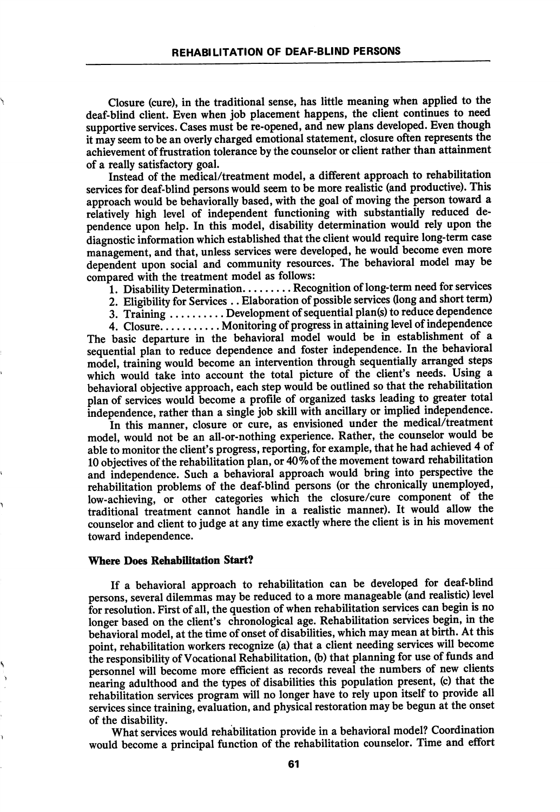Closure (cure), in the traditional sense, has little meaning when applied to the deaf-blind client. Even when job placement happens, the client continues to need supportive services. Cases must be re-opened, and new plans developed. Even though it may seem to be an overly charged emotional statement, closure often represents the achievement of frustration tolerance by the counselor or client rather than attainment of a really satisfactory goal.

Instead of the medical/treatment model, a different approach to rehabilitation services for deaf-blind persons would seem to be more realistic (and productive). This approach would be behaviorally based, with the goal of moving the person toward a relatively high level of independent functioning with substantially reduced de pendence upon help. In this model, disability determination would rely upon the diagnostic information which established that the client would require long-term case management, and that, unless services were developed, he would become even more dependent upon social and community resources. The behavioral model may be compared with the treatment model as follows:

1. Disability Determination.........Recognition of long-term need for services

2. Eligibility for Services . . Elaboration of possible services (long and short term)

3. Training  $\dots\dots\dots$  Development of sequential plan(s) to reduce dependence

4. Closure........... Monitoring of progress in attaining level of independence The basic departure in the behavioral model would be in establishment of a sequential plan to reduce dependence and foster independence. In the behavioral model, training would become an intervention through sequentially arranged steps which would take into account the total picture of the client's needs. Using a behavioral objective approach, each step would be outlined so that the rehabilitation plan of services would become a profile of organized tasks leading to greater total independence, rather than a single job skill with ancillary or implied independence.

In this manner, closure or cure, as envisioned under the medical/treatment model, would not be an all-or-nothing experience. Rather, the counselor would be able to monitor the client's progress, reporting, for example, that he had achieved 4 of 10 objectives of the rehabilitation plan, or  $40\%$  of the movement toward rehabilitation and independence. Such a behavioral approach would bring into perspective the rehabilitation problems of the deaf-blind persons (or the chronically unemployed, low-achieving, or other categories which the closure/cure component of the traditional treatment cannot handle in a realistic manner). It would allow the counselor and client to judge at any time exactly where the client is in his movement toward independence.

### Where Does Rehabilitation Start?

If a behavioral approach to rehabilitation can be developed for deaf-blind persons, several dilemmas may be reduced to a more manageable (and realistic) level for resolution. First of all, the question of when rehabilitation services can begin is no longer based on the client's chronological age. Rehabilitation services begin, in the behavioral model, at the time of onset of disabilities, which may mean at birth. At this point, rehabilitation workers recognize (a) that a client needing services will become the responsibility of Vocational Rehabilitation, (b) that planning for use of funds and personnel will become more efficient as records reveal the numbers of new clients nearing adulthood and the types of disabilities this population present, (c) that the rehabilitation services program will no longer have to rely upon itself to provide all services since training, evaluation, and physical restoration may be begun at the onset of the disability.

What services would rehabilitation provide in a behavioral model? Coordination would become a principal function of the rehabilitation counselor. Time and effort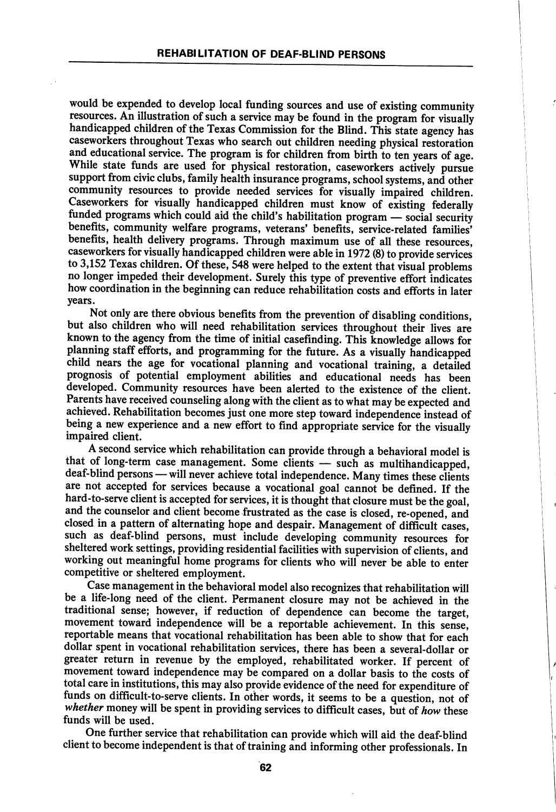would be expended to develop local funding sources and use of existing community resources. An illustration of such a service may be found in the program for visually handicapped children of the Texas Commission for the Blind. This state agency has caseworkers throughout Texas who search out children needing physical restoration and educational service. The program is for children from birth to ten years of age. While state funds are used for physical restoration, caseworkers actively pursue support from civic clubs, family health insurance programs, school systems, and other community resources to provide needed services for visually impaired children. Caseworkers for visually handicapped children must know of existing federally funded programs which could aid the child's habilitation program — social security benefits, community welfare programs, veterans' benefits, service-related families' benefits, health delivery programs. Through maximum use of all these resources, caseworkers for visually handicapped children were able in 1972 (8) to provide services to 3,152 Texas children. Of these, 548 were helped to the extent that visual problems no longer impeded their development. Surely this type of preventive effort indicates how coordination in the beginning can reduce rehabilitation costs and efforts in later years.

Not only are there obvious benefits from the prevention of disabling conditions, but also children who will need rehabilitation services throughout their lives are known to the agency from the time of initial casefinding. This knowledge allows for planning staff efforts, and programming for the future. As a visually handicapped child nears the age for vocational planning and vocational training, a detailed prognosis of potential employment abilities and educational needs has been developed. Community resources have been alerted to the existence of the client. Parents have received counseling along with the client as to what may be expected and achieved. Rehabilitation becomes just one more step toward independence instead of being a new experience and a new effort to find appropriate service for the visually impaired client.

A second service which rehabilitation can provide through a behavioral model is that of long-term case management. Some clients — such as multihandicapped, deaf-blind persons — will never achieve total independence. Many times these clients are not accepted for services because a vocational goal cannot be defined. If the hard-to-serve client is accepted for services, it is thought that closure must be the goal, and the counselor and client become frustrated as the case is closed, re-opened, and closed in a pattern of alternating hope and despair. Management of difficult cases, such as deaf-blind persons, must include developing community resources for sheltered work settings, providing residential facilities with supervision of clients, and working out meaningful home programs for clients who will never be able to enter competitive or sheltered employment.

 $\overline{1}$ 

Case management in the behavioral model also recognizes that rehabilitation will be a life-long need of the client. Permanent closure may not be achieved in the traditional sense; however, if reduction of dependence can become the target, movement toward independence will be a reportable achievement. In this sense, reportable means that vocational rehabilitation has been able to show that for each dollar spent in vocational rehabilitation services, there has been a several-dollar or greater return in revenue by the employed, rehabilitated worker. If percent of movement toward independence may be compared on a dollar basis to the costs of total care in institutions, this may also provide evidence of the need for expenditure of funds on difficult-to-serve clients. In other words, it seems to be a question, not of whether money will be spent in providing services to difficult cases, but of how these funds will be used.

One further service that rehabilitation can provide which will aid the deaf-blind client to become independent is that of training and informing other professionals. In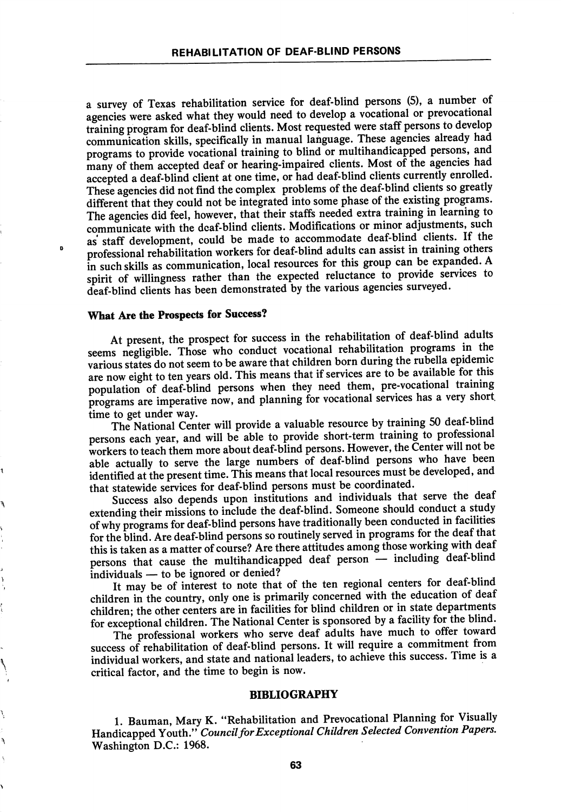a survey of Texas rehabilitation service for deaf-blind persons (5), a number of agencies were asked what they would need to develop a vocational or prevocational training program for deaf-blind clients. Most requested were staff persons to develop communication skills, specifically in manual language. These agencies already had programs to provide vocational training to blind or multihandicapped persons, and many of them accepted deaf or hearing-impaired clients. Most of the agencies had accepted a deaf-blind client at one time, or had deaf-blind clients currently enrolled. These agencies did not find the complex problems of the deaf-blind clients so greatly different that they could not be integrated into some phase of the existing programs. The agencies did feel, however, that their staffs needed extra training in learning to communicate with the dcaf-blind clients. Modifications or minor adjustments, such as staff development, could be made to accommodate deaf-blind clients. If the professional rehabilitation workers for deaf-blind adults can assist in training others in such skills as communication, local resources for this group can be expanded. A spirit of willingness rather than the expected reluctance to provide services to deaf-blind clients has been demonstrated by the various agencies surveyed.

## What Are the Prospects for Success?

Þ

At present, the prospect for success in the rehabilitation of deaf-blind adults seems negligible. Those who conduct vocational rehabilitation programs in the various states do not seem to be aware that children born during the rubella epidemic are now eight to ten years old. This means that if services are to be available for this population of deaf-blind persons when they need them, pre-vocational training programs are imperative now, and planning for vocational services has a very short.<br>time to get under way. time to get under way.<br> $\frac{1}{2}$  is the under way.

The National Center will provide a valuable resource by training 50 deat-blind persons each year, and will be able to provide short-term training to professional workers to teach them more about deaf-blind persons. However, the Center will not be able actually to serve the large numbers of deaf-blind persons who have been identified at the present time. This means that local resources must be developed, and that statewide services for deaf-blind persons must be coordinated.

Success also depends upon institutions and individuals that serve the deaf extending their missions to include the deaf-blind. Someone should conduct a study of why programs for deaf-blind persons have traditionally been conducted in facilities for the blind. Are deaf-blind persons so routinely served in programs for the deaf that this is taken as a matter of course? Are there attitudes among those working with deaf persons that cause the multihandicapped deaf person — including deaf-blind individuals — to be ignored or denied? individuals — to be ignored or denied?<br>individuals — to be ignored or denied?

It may be of interest to note that of the ten regional centers for deat-bind children in the country, only one is primarily concerned with the education of deaf children; the other centers are in facilities for blind children or in state departments for exceptional children. The National Center is sponsored by a facility for the blind.

The professional workers who serve deaf adults have much to offer toward success of rehabilitation of deaf-blind persons. It will require a commitment from individual workers, and state and national leaders, to achieve this success. Time is a critical factor, and the time to begin is now.

#### BIBLIOGRAPHY

1. Bauman, Mary K. "Rehabilitation and Prevocational Planning for Visually Handicapped Youth." Council for Exceptional Children Selected Convention Papers. Washington D.C.: 1968.